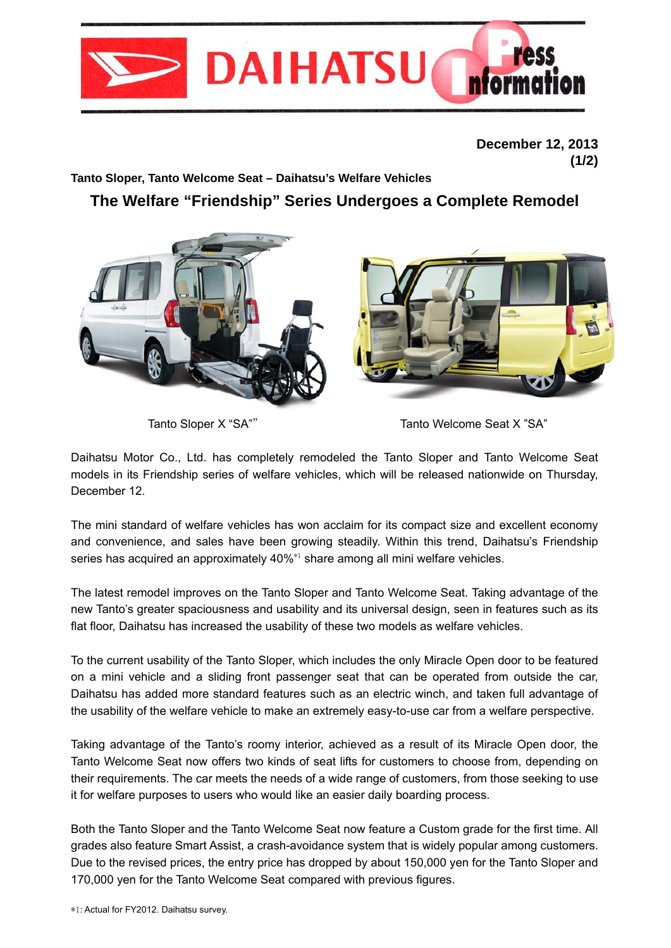

**December 12, 2013 (1/2)**

**Tanto Sloper, Tanto Welcome Seat – Daihatsu's Welfare Vehicles** 

**The Welfare "Friendship" Series Undergoes a Complete Remodel**



Tanto Sloper X "SA"" Tanto Welcome Seat X "SA"

Daihatsu Motor Co., Ltd. has completely remodeled the Tanto Sloper and Tanto Welcome Seat models in its Friendship series of welfare vehicles, which will be released nationwide on Thursday, December 12.

The mini standard of welfare vehicles has won acclaim for its compact size and excellent economy and convenience, and sales have been growing steadily. Within this trend, Daihatsu's Friendship series has acquired an approximately 40%<sup>\*1</sup> share among all mini welfare vehicles.

The latest remodel improves on the Tanto Sloper and Tanto Welcome Seat. Taking advantage of the new Tanto's greater spaciousness and usability and its universal design, seen in features such as its flat floor, Daihatsu has increased the usability of these two models as welfare vehicles.

To the current usability of the Tanto Sloper, which includes the only Miracle Open door to be featured on a mini vehicle and a sliding front passenger seat that can be operated from outside the car, Daihatsu has added more standard features such as an electric winch, and taken full advantage of the usability of the welfare vehicle to make an extremely easy-to-use car from a welfare perspective.

Taking advantage of the Tanto's roomy interior, achieved as a result of its Miracle Open door, the Tanto Welcome Seat now offers two kinds of seat lifts for customers to choose from, depending on their requirements. The car meets the needs of a wide range of customers, from those seeking to use it for welfare purposes to users who would like an easier daily boarding process.

Both the Tanto Sloper and the Tanto Welcome Seat now feature a Custom grade for the first time. All grades also feature Smart Assist, a crash-avoidance system that is widely popular among customers. Due to the revised prices, the entry price has dropped by about 150,000 yen for the Tanto Sloper and 170,000 yen for the Tanto Welcome Seat compared with previous figures.